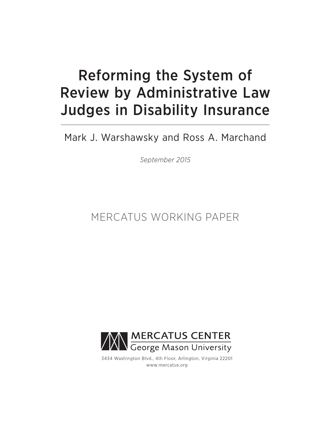# Reforming the System of Review by Administrative Law Judges in Disability Insurance

### Mark J. Warshawsky and Ross A. Marchand

*September 2015*

## MERCATUS WORKING PAPER



3434 Washington Blvd., 4th Floor, Arlington, Virginia 22201 www.mercatus.org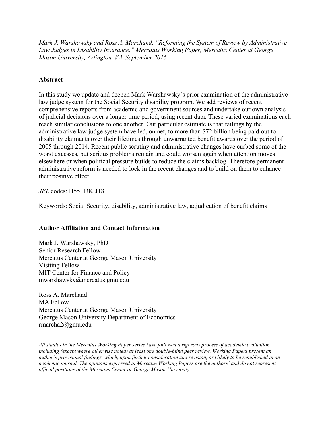*Mark J. Warshawsky and Ross A. Marchand. "Reforming the System of Review by Administrative Law Judges in Disability Insurance." Mercatus Working Paper, Mercatus Center at George Mason University, Arlington, VA, September 2015.*

#### **Abstract**

In this study we update and deepen Mark Warshawsky's prior examination of the administrative law judge system for the Social Security disability program. We add reviews of recent comprehensive reports from academic and government sources and undertake our own analysis of judicial decisions over a longer time period, using recent data. These varied examinations each reach similar conclusions to one another. Our particular estimate is that failings by the administrative law judge system have led, on net, to more than \$72 billion being paid out to disability claimants over their lifetimes through unwarranted benefit awards over the period of 2005 through 2014. Recent public scrutiny and administrative changes have curbed some of the worst excesses, but serious problems remain and could worsen again when attention moves elsewhere or when political pressure builds to reduce the claims backlog. Therefore permanent administrative reform is needed to lock in the recent changes and to build on them to enhance their positive effect.

*JEL* codes: H55, I38, J18

Keywords: Social Security, disability, administrative law, adjudication of benefit claims

#### **Author Affiliation and Contact Information**

Mark J. Warshawsky, PhD Senior Research Fellow Mercatus Center at George Mason University Visiting Fellow MIT Center for Finance and Policy [mwarshawsky@mercatus.gmu.edu](mailto:mwarshawsky@mercatus.gmu.edu)

Ross A. Marchand MA Fellow Mercatus Center at George Mason University George Mason University Department of Economics [rmarcha2@gmu.edu](mailto:rmarcha2@gmu.edu)

*All studies in the Mercatus Working Paper series have followed a rigorous process of academic evaluation, including (except where otherwise noted) at least one double-blind peer review. Working Papers present an author's provisional findings, which, upon further consideration and revision, are likely to be republished in an academic journal. The opinions expressed in Mercatus Working Papers are the authors' and do not represent official positions of the Mercatus Center or George Mason University.*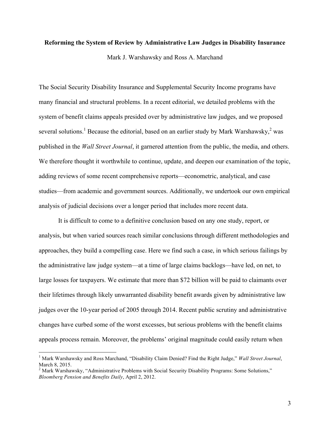#### **Reforming the System of Review by Administrative Law Judges in Disability Insurance**

Mark J. Warshawsky and Ross A. Marchand

The Social Security Disability Insurance and Supplemental Security Income programs have many financial and structural problems. In a recent editorial, we detailed problems with the system of benefit claims appeals presided over by administrative law judges, and we proposed several solutions.<sup>1</sup> Because the editorial, based on an earlier study by Mark Warshawsky,<sup>2</sup> was published in the *Wall Street Journal*, it garnered attention from the public, the media, and others. We therefore thought it worthwhile to continue, update, and deepen our examination of the topic, adding reviews of some recent comprehensive reports—econometric, analytical, and case studies—from academic and government sources. Additionally, we undertook our own empirical analysis of judicial decisions over a longer period that includes more recent data.

It is difficult to come to a definitive conclusion based on any one study, report, or analysis, but when varied sources reach similar conclusions through different methodologies and approaches, they build a compelling case. Here we find such a case, in which serious failings by the administrative law judge system—at a time of large claims backlogs—have led, on net, to large losses for taxpayers. We estimate that more than \$72 billion will be paid to claimants over their lifetimes through likely unwarranted disability benefit awards given by administrative law judges over the 10-year period of 2005 through 2014. Recent public scrutiny and administrative changes have curbed some of the worst excesses, but serious problems with the benefit claims appeals process remain. Moreover, the problems' original magnitude could easily return when

<sup>1</sup> Mark Warshawsky and Ross Marchand, "Disability Claim Denied? Find the Right Judge," *Wall Street Journal*, March 8, 2015.

<sup>&</sup>lt;sup>2</sup> Mark Warshawsky, "Administrative Problems with Social Security Disability Programs: Some Solutions," *Bloomberg Pension and Benefits Daily*, April 2, 2012.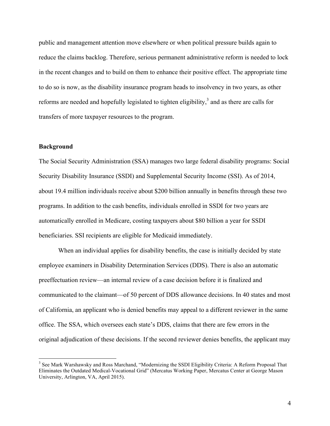public and management attention move elsewhere or when political pressure builds again to reduce the claims backlog. Therefore, serious permanent administrative reform is needed to lock in the recent changes and to build on them to enhance their positive effect. The appropriate time to do so is now, as the disability insurance program heads to insolvency in two years, as other reforms are needed and hopefully legislated to tighten eligibility, $3$  and as there are calls for transfers of more taxpayer resources to the program.

#### **Background**

<u> 1989 - Johann Stein, markin film yn y breninn y breninn y breninn y breninn y breninn y breninn y breninn y b</u>

The Social Security Administration (SSA) manages two large federal disability programs: Social Security Disability Insurance (SSDI) and Supplemental Security Income (SSI). As of 2014, about 19.4 million individuals receive about \$200 billion annually in benefits through these two programs. In addition to the cash benefits, individuals enrolled in SSDI for two years are automatically enrolled in Medicare, costing taxpayers about \$80 billion a year for SSDI beneficiaries. SSI recipients are eligible for Medicaid immediately.

When an individual applies for disability benefits, the case is initially decided by state employee examiners in Disability Determination Services (DDS). There is also an automatic preeffectuation review—an internal review of a case decision before it is finalized and communicated to the claimant—of 50 percent of DDS allowance decisions. In 40 states and most of California, an applicant who is denied benefits may appeal to a different reviewer in the same office. The SSA, which oversees each state's DDS, claims that there are few errors in the original adjudication of these decisions. If the second reviewer denies benefits, the applicant may

<sup>&</sup>lt;sup>3</sup> See Mark Warshawsky and Ross Marchand, "Modernizing the SSDI Eligibility Criteria: A Reform Proposal That Eliminates the Outdated Medical-Vocational Grid" (Mercatus Working Paper, Mercatus Center at George Mason University, Arlington, VA, April 2015).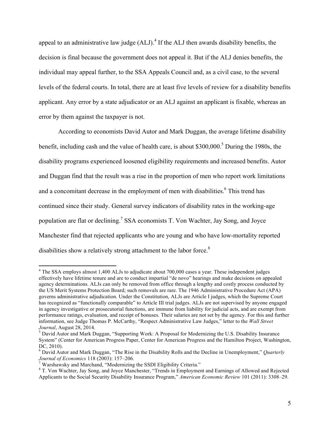appeal to an administrative law judge (ALJ).<sup>4</sup> If the ALJ then awards disability benefits, the decision is final because the government does not appeal it. But if the ALJ denies benefits, the individual may appeal further, to the SSA Appeals Council and, as a civil case, to the several levels of the federal courts. In total, there are at least five levels of review for a disability benefits applicant. Any error by a state adjudicator or an ALJ against an applicant is fixable, whereas an error by them against the taxpayer is not.

According to economists David Autor and Mark Duggan, the average lifetime disability benefit, including cash and the value of health care, is about \$300,000.<sup>5</sup> During the 1980s, the disability programs experienced loosened eligibility requirements and increased benefits. Autor and Duggan find that the result was a rise in the proportion of men who report work limitations and a concomitant decrease in the employment of men with disabilities.<sup>6</sup> This trend has continued since their study. General survey indicators of disability rates in the working-age population are flat or declining.<sup>7</sup> SSA economists T. Von Wachter, Jay Song, and Joyce Manchester find that rejected applicants who are young and who have low-mortality reported disabilities show a relatively strong attachment to the labor force.<sup>8</sup>

<sup>&</sup>lt;sup>4</sup> The SSA employs almost 1,400 ALJs to adjudicate about 700,000 cases a year. These independent judges effectively have lifetime tenure and are to conduct impartial "de novo" hearings and make decisions on appealed agency determinations. ALJs can only be removed from office through a lengthy and costly process conducted by the US Merit Systems Protection Board; such removals are rare. The 1946 Administrative Procedure Act (APA) governs administrative adjudication. Under the Constitution, ALJs are Article I judges, which the Supreme Court has recognized as "functionally comparable" to Article III trial judges. ALJs are not supervised by anyone engaged in agency investigative or prosecutorial functions, are immune from liability for judicial acts, and are exempt from performance ratings, evaluation, and receipt of bonuses. Their salaries are not set by the agency. For this and further information, see Judge Thomas P. McCarthy, "Respect Administrative Law Judges," letter to the *Wall Street Journal*, August 28, 2014.<br><sup>5</sup> David Autor and Mark Duggan, "Supporting Work: A Proposal for Modernizing the U.S. Disability Insurance

System" (Center for American Progress Paper, Center for American Progress and the Hamilton Project, Washington, DC, 2010).

<sup>6</sup> David Autor and Mark Duggan, "The Rise in the Disability Rolls and the Decline in Unemployment," *Quarterly*  Journal of Economics 118 (2003): 157–206.<br><sup>7</sup> Warshawsky and Marchand, "Modernizing the SSDI Eligibility Criteria."<br><sup>8</sup> T. Von Wachter, Jay Song, and Joyce Manchester, "Trends in Employment and Earnings of Allowed and Reje

Applicants to the Social Security Disability Insurance Program," *American Economic Review* 101 (2011): 3308–29.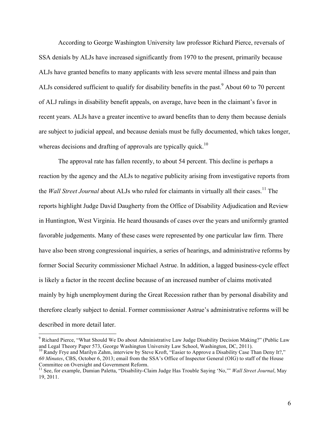According to George Washington University law professor Richard Pierce, reversals of SSA denials by ALJs have increased significantly from 1970 to the present, primarily because ALJs have granted benefits to many applicants with less severe mental illness and pain than ALJs considered sufficient to qualify for disability benefits in the past.<sup>9</sup> About 60 to 70 percent of ALJ rulings in disability benefit appeals, on average, have been in the claimant's favor in recent years. ALJs have a greater incentive to award benefits than to deny them because denials are subject to judicial appeal, and because denials must be fully documented, which takes longer, whereas decisions and drafting of approvals are typically quick.<sup>10</sup>

The approval rate has fallen recently, to about 54 percent. This decline is perhaps a reaction by the agency and the ALJs to negative publicity arising from investigative reports from the *Wall Street Journal* about ALJs who ruled for claimants in virtually all their cases. <sup>11</sup> The reports highlight Judge David Daugherty from the Office of Disability Adjudication and Review in Huntington, West Virginia. He heard thousands of cases over the years and uniformly granted favorable judgements. Many of these cases were represented by one particular law firm. There have also been strong congressional inquiries, a series of hearings, and administrative reforms by former Social Security commissioner Michael Astrue. In addition, a lagged business-cycle effect is likely a factor in the recent decline because of an increased number of claims motivated mainly by high unemployment during the Great Recession rather than by personal disability and therefore clearly subject to denial. Former commissioner Astrue's administrative reforms will be described in more detail later.

<sup>9</sup> Richard Pierce, "What Should We Do about Administrative Law Judge Disability Decision Making?" (Public Law and Legal Theory Paper 573, George Washington University Law School, Washington, DC, 2011).

<sup>&</sup>lt;sup>10</sup> Randy Frye and Marilyn Zahm, interview by Steve Kroft, "Easier to Approve a Disability Case Than Deny It?," *60 Minutes*, CBS, October 6, 2013; email from the SSA's Office of Inspector General (OIG) to staff of the House Committee on Oversight and Government Reform.

<sup>11</sup> See, for example, Damian Paletta, "Disability-Claim Judge Has Trouble Saying 'No,'" *Wall Street Journal*, May 19, 2011.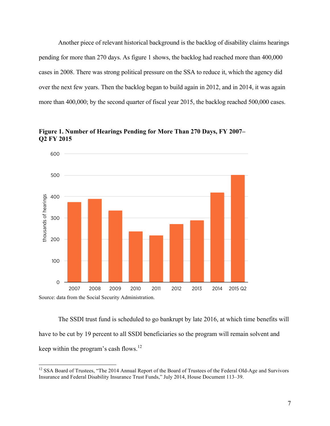Another piece of relevant historical background is the backlog of disability claims hearings pending for more than 270 days. As figure 1 shows, the backlog had reached more than 400,000 cases in 2008. There was strong political pressure on the SSA to reduce it, which the agency did over the next few years. Then the backlog began to build again in 2012, and in 2014, it was again more than 400,000; by the second quarter of fiscal year 2015, the backlog reached 500,000 cases.





The SSDI trust fund is scheduled to go bankrupt by late 2016, at which time benefits will have to be cut by 19 percent to all SSDI beneficiaries so the program will remain solvent and keep within the program's cash flows. $^{12}$ 

<sup>&</sup>lt;sup>12</sup> SSA Board of Trustees, "The 2014 Annual Report of the Board of Trustees of the Federal Old-Age and Survivors Insurance and Federal Disability Insurance Trust Funds," July 2014, House Document 113–39.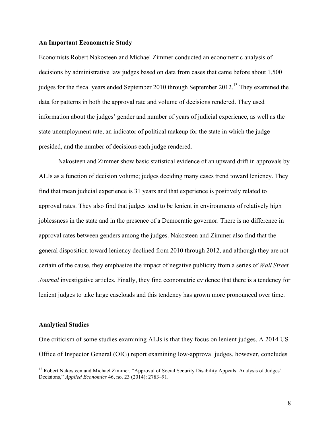#### **An Important Econometric Study**

Economists Robert Nakosteen and Michael Zimmer conducted an econometric analysis of decisions by administrative law judges based on data from cases that came before about 1,500 judges for the fiscal years ended September 2010 through September 2012.<sup>13</sup> They examined the data for patterns in both the approval rate and volume of decisions rendered. They used information about the judges' gender and number of years of judicial experience, as well as the state unemployment rate, an indicator of political makeup for the state in which the judge presided, and the number of decisions each judge rendered.

Nakosteen and Zimmer show basic statistical evidence of an upward drift in approvals by ALJs as a function of decision volume; judges deciding many cases trend toward leniency. They find that mean judicial experience is 31 years and that experience is positively related to approval rates. They also find that judges tend to be lenient in environments of relatively high joblessness in the state and in the presence of a Democratic governor. There is no difference in approval rates between genders among the judges. Nakosteen and Zimmer also find that the general disposition toward leniency declined from 2010 through 2012, and although they are not certain of the cause, they emphasize the impact of negative publicity from a series of *Wall Street Journal* investigative articles. Finally, they find econometric evidence that there is a tendency for lenient judges to take large caseloads and this tendency has grown more pronounced over time.

#### **Analytical Studies**

<u> 1989 - Johann Stein, markin film yn y breninn y breninn y breninn y breninn y breninn y breninn y breninn y b</u>

One criticism of some studies examining ALJs is that they focus on lenient judges. A 2014 US Office of Inspector General (OIG) report examining low-approval judges, however, concludes

<sup>&</sup>lt;sup>13</sup> Robert Nakosteen and Michael Zimmer, "Approval of Social Security Disability Appeals: Analysis of Judges' Decisions," *Applied Economics* 46, no. 23 (2014): 2783–91.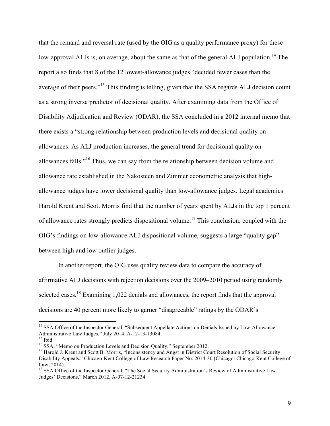that the remand and reversal rate (used by the OIG as a quality performance proxy) for these low-approval ALJs is, on average, about the same as that of the general ALJ population.<sup>14</sup> The report also finds that 8 of the 12 lowest-allowance judges "decided fewer cases than the average of their peers."<sup>15</sup> This finding is telling, given that the SSA regards ALJ decision count as a strong inverse predictor of decisional quality. After examining data from the Office of Disability Adjudication and Review (ODAR), the SSA concluded in a 2012 internal memo that there exists a "strong relationship between production levels and decisional quality on allowances. As ALJ production increases, the general trend for decisional quality on allowances falls."<sup>16</sup> Thus, we can say from the relationship between decision volume and allowance rate established in the Nakosteen and Zimmer econometric analysis that highallowance judges have lower decisional quality than low-allowance judges. Legal academics Harold Krent and Scott Morris find that the number of years spent by ALJs in the top 1 percent of allowance rates strongly predicts dispositional volume.<sup>17</sup> This conclusion, coupled with the OIG's findings on low-allowance ALJ dispositional volume, suggests a large "quality gap" between high and low outlier judges.

In another report, the OIG uses quality review data to compare the accuracy of affirmative ALJ decisions with rejection decisions over the 2009–2010 period using randomly selected cases.<sup>18</sup> Examining 1,022 denials and allowances, the report finds that the approval decisions are 40 percent more likely to garner "disagreeable" ratings by the ODAR's

<sup>&</sup>lt;sup>14</sup> SSA Office of the Inspector General, "Subsequent Appellate Actions on Denials Issued by Low-Allowance Administrative Law Judges," July 2014, A-12-13-13084.<br><sup>15</sup> Ibid.<br><sup>16</sup> SSA, "Memo on Production Levels and Decision Quality," September 2012.<br><sup>17</sup> Harold J. Krent and Scott B. Morris, "Inconsistency and Angst in District Co

Disability Appeals," Chicago-Kent College of Law Research Paper No. 2014-30 (Chicago: Chicago-Kent College of Law,  $2014$ ).

<sup>&</sup>lt;sup>18</sup> SSA Office of the Inspector General, "The Social Security Administration's Review of Administrative Law Judges' Decisions," March 2012, A-07-12-21234.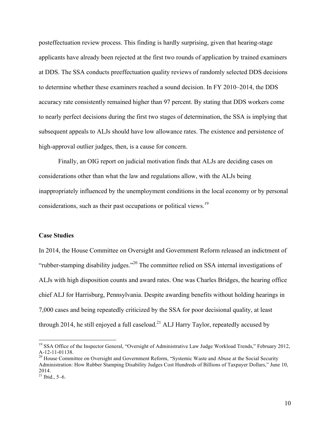posteffectuation review process. This finding is hardly surprising, given that hearing-stage applicants have already been rejected at the first two rounds of application by trained examiners at DDS. The SSA conducts preeffectuation quality reviews of randomly selected DDS decisions to determine whether these examiners reached a sound decision. In FY 2010–2014, the DDS accuracy rate consistently remained higher than 97 percent. By stating that DDS workers come to nearly perfect decisions during the first two stages of determination, the SSA is implying that subsequent appeals to ALJs should have low allowance rates. The existence and persistence of high-approval outlier judges, then, is a cause for concern.

Finally, an OIG report on judicial motivation finds that ALJs are deciding cases on considerations other than what the law and regulations allow, with the ALJs being inappropriately influenced by the unemployment conditions in the local economy or by personal considerations, such as their past occupations or political views.<sup>19</sup>

#### **Case Studies**

In 2014, the House Committee on Oversight and Government Reform released an indictment of "rubber-stamping disability judges."<sup>20</sup> The committee relied on SSA internal investigations of ALJs with high disposition counts and award rates. One was Charles Bridges, the hearing office chief ALJ for Harrisburg, Pennsylvania. Despite awarding benefits without holding hearings in 7,000 cases and being repeatedly criticized by the SSA for poor decisional quality, at least through 2014, he still enjoyed a full caseload.<sup>21</sup> ALJ Harry Taylor, repeatedly accused by

<sup>&</sup>lt;sup>19</sup> SSA Office of the Inspector General, "Oversight of Administrative Law Judge Workload Trends," February 2012, A-12-11-01138.<br><sup>20</sup> House Committee on Oversight and Government Reform, "Systemic Waste and Abuse at the Social Security

Administration: How Rubber Stamping Disability Judges Cost Hundreds of Billions of Taxpayer Dollars," June 10, 2014.

 $^{201}$  Ibid., 5–6.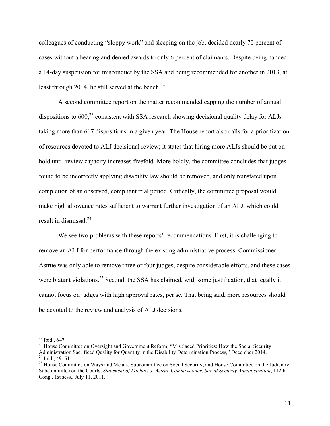colleagues of conducting "sloppy work" and sleeping on the job, decided nearly 70 percent of cases without a hearing and denied awards to only 6 percent of claimants. Despite being handed a 14-day suspension for misconduct by the SSA and being recommended for another in 2013, at least through 2014, he still served at the bench.<sup>22</sup>

A second committee report on the matter recommended capping the number of annual dispositions to  $600<sup>23</sup>$  consistent with SSA research showing decisional quality delay for ALJs taking more than 617 dispositions in a given year. The House report also calls for a prioritization of resources devoted to ALJ decisional review; it states that hiring more ALJs should be put on hold until review capacity increases fivefold. More boldly, the committee concludes that judges found to be incorrectly applying disability law should be removed, and only reinstated upon completion of an observed, compliant trial period. Critically, the committee proposal would make high allowance rates sufficient to warrant further investigation of an ALJ, which could result in dismissal.<sup>24</sup>

We see two problems with these reports' recommendations. First, it is challenging to remove an ALJ for performance through the existing administrative process. Commissioner Astrue was only able to remove three or four judges, despite considerable efforts, and these cases were blatant violations.<sup>25</sup> Second, the SSA has claimed, with some justification, that legally it cannot focus on judges with high approval rates, per se. That being said, more resources should be devoted to the review and analysis of ALJ decisions.

<sup>&</sup>lt;sup>22</sup> Ibid., 6–7.<br><sup>23</sup> House Committee on Oversight and Government Reform, "Misplaced Priorities: How the Social Security<br>Administration Sacrificed Quality for Quantity in the Disability Determination Process," December 20 <sup>24</sup> Ibid., 49–51.<br><sup>25</sup> House Committee on Ways and Means, Subcommittee on Social Security, and House Committee on the Judiciary,

Subcommittee on the Courts, *Statement of Michael J. Astrue Commissioner, Social Security Administration*, 112th Cong., 1st sess., July 11, 2011.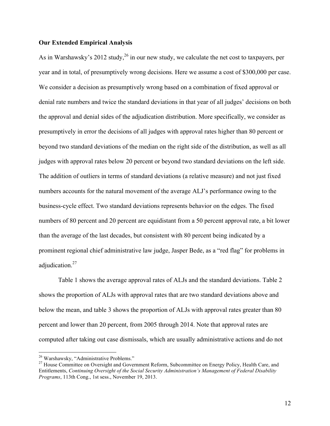#### **Our Extended Empirical Analysis**

As in Warshawsky's 2012 study,  $^{26}$  in our new study, we calculate the net cost to taxpayers, per year and in total, of presumptively wrong decisions. Here we assume a cost of \$300,000 per case. We consider a decision as presumptively wrong based on a combination of fixed approval or denial rate numbers and twice the standard deviations in that year of all judges' decisions on both the approval and denial sides of the adjudication distribution. More specifically, we consider as presumptively in error the decisions of all judges with approval rates higher than 80 percent or beyond two standard deviations of the median on the right side of the distribution, as well as all judges with approval rates below 20 percent or beyond two standard deviations on the left side. The addition of outliers in terms of standard deviations (a relative measure) and not just fixed numbers accounts for the natural movement of the average ALJ's performance owing to the business-cycle effect. Two standard deviations represents behavior on the edges. The fixed numbers of 80 percent and 20 percent are equidistant from a 50 percent approval rate, a bit lower than the average of the last decades, but consistent with 80 percent being indicated by a prominent regional chief administrative law judge, Jasper Bede, as a "red flag" for problems in adjudication.<sup>27</sup>

Table 1 shows the average approval rates of ALJs and the standard deviations. Table 2 shows the proportion of ALJs with approval rates that are two standard deviations above and below the mean, and table 3 shows the proportion of ALJs with approval rates greater than 80 percent and lower than 20 percent, from 2005 through 2014. Note that approval rates are computed after taking out case dismissals, which are usually administrative actions and do not

<sup>&</sup>lt;sup>26</sup> Warshawsky, "Administrative Problems."

<sup>&</sup>lt;sup>27</sup> House Committee on Oversight and Government Reform, Subcommittee on Energy Policy, Health Care, and Entitlements, *Continuing Oversight of the Social Security Administration's Management of Federal Disability Programs*, 113th Cong., 1st sess., November 19, 2013.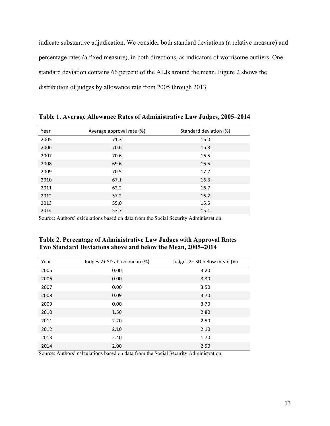indicate substantive adjudication. We consider both standard deviations (a relative measure) and percentage rates (a fixed measure), in both directions, as indicators of worrisome outliers. One standard deviation contains 66 percent of the ALJs around the mean. Figure 2 shows the distribution of judges by allowance rate from 2005 through 2013.

| Year | Average approval rate (%) | Standard deviation (%) |
|------|---------------------------|------------------------|
| 2005 | 71.3                      | 16.0                   |
| 2006 | 70.6                      | 16.3                   |
| 2007 | 70.6                      | 16.5                   |
| 2008 | 69.6                      | 16.5                   |
| 2009 | 70.5                      | 17.7                   |
| 2010 | 67.1                      | 16.3                   |
| 2011 | 62.2                      | 16.7                   |
| 2012 | 57.2                      | 16.2                   |
| 2013 | 55.0                      | 15.5                   |
| 2014 | 53.7                      | 15.1                   |

**Table 1. Average Allowance Rates of Administrative Law Judges, 2005–2014**

Source: Authors' calculations based on data from the Social Security Administration.

| Table 2. Percentage of Administrative Law Judges with Approval Rates |
|----------------------------------------------------------------------|
| Two Standard Deviations above and below the Mean, 2005–2014          |

| Year | Judges 2+ SD above mean (%) | Judges 2+ SD below mean (%) |
|------|-----------------------------|-----------------------------|
| 2005 | 0.00                        | 3.20                        |
| 2006 | 0.00                        | 3.30                        |
| 2007 | 0.00                        | 3.50                        |
| 2008 | 0.09                        | 3.70                        |
| 2009 | 0.00                        | 3.70                        |
| 2010 | 1.50                        | 2.80                        |
| 2011 | 2.20                        | 2.50                        |
| 2012 | 2.10                        | 2.10                        |
| 2013 | 2.40                        | 1.70                        |
| 2014 | 2.90                        | 2.50                        |

Source: Authors' calculations based on data from the Social Security Administration.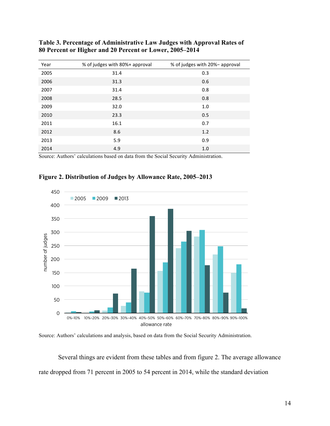| Year | % of judges with 80%+ approval | % of judges with 20%- approval |
|------|--------------------------------|--------------------------------|
| 2005 | 31.4                           | 0.3                            |
| 2006 | 31.3                           | 0.6                            |
| 2007 | 31.4                           | 0.8                            |
| 2008 | 28.5                           | 0.8                            |
| 2009 | 32.0                           | 1.0                            |
| 2010 | 23.3                           | 0.5                            |
| 2011 | 16.1                           | 0.7                            |
| 2012 | 8.6                            | 1.2                            |
| 2013 | 5.9                            | 0.9                            |
| 2014 | 4.9                            | 1.0                            |

**Table 3. Percentage of Administrative Law Judges with Approval Rates of 80 Percent or Higher and 20 Percent or Lower, 2005–2014**

Source: Authors' calculations based on data from the Social Security Administration.



**Figure 2. Distribution of Judges by Allowance Rate, 2005–2013**

Source: Authors' calculations and analysis, based on data from the Social Security Administration.

Several things are evident from these tables and from figure 2. The average allowance rate dropped from 71 percent in 2005 to 54 percent in 2014, while the standard deviation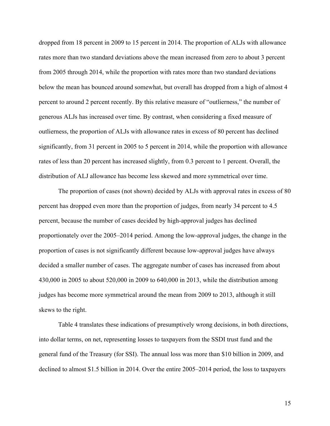dropped from 18 percent in 2009 to 15 percent in 2014. The proportion of ALJs with allowance rates more than two standard deviations above the mean increased from zero to about 3 percent from 2005 through 2014, while the proportion with rates more than two standard deviations below the mean has bounced around somewhat, but overall has dropped from a high of almost 4 percent to around 2 percent recently. By this relative measure of "outlierness," the number of generous ALJs has increased over time. By contrast, when considering a fixed measure of outlierness, the proportion of ALJs with allowance rates in excess of 80 percent has declined significantly, from 31 percent in 2005 to 5 percent in 2014, while the proportion with allowance rates of less than 20 percent has increased slightly, from 0.3 percent to 1 percent. Overall, the distribution of ALJ allowance has become less skewed and more symmetrical over time.

The proportion of cases (not shown) decided by ALJs with approval rates in excess of 80 percent has dropped even more than the proportion of judges, from nearly 34 percent to 4.5 percent, because the number of cases decided by high-approval judges has declined proportionately over the 2005–2014 period. Among the low-approval judges, the change in the proportion of cases is not significantly different because low-approval judges have always decided a smaller number of cases. The aggregate number of cases has increased from about 430,000 in 2005 to about 520,000 in 2009 to 640,000 in 2013, while the distribution among judges has become more symmetrical around the mean from 2009 to 2013, although it still skews to the right.

Table 4 translates these indications of presumptively wrong decisions, in both directions, into dollar terms, on net, representing losses to taxpayers from the SSDI trust fund and the general fund of the Treasury (for SSI). The annual loss was more than \$10 billion in 2009, and declined to almost \$1.5 billion in 2014. Over the entire 2005–2014 period, the loss to taxpayers

15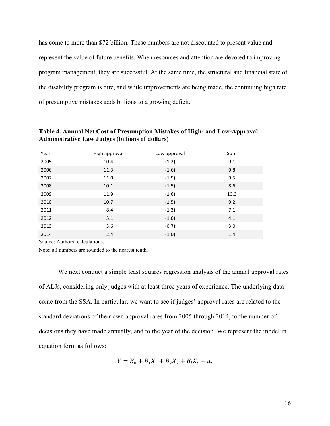has come to more than \$72 billion. These numbers are not discounted to present value and represent the value of future benefits. When resources and attention are devoted to improving program management, they are successful. At the same time, the structural and financial state of the disability program is dire, and while improvements are being made, the continuing high rate of presumptive mistakes adds billions to a growing deficit.

| Year | High approval | Low approval | Sum  |
|------|---------------|--------------|------|
| 2005 | 10.4          | (1.2)        | 9.1  |
| 2006 | 11.3          | (1.6)        | 9.8  |
| 2007 | 11.0          | (1.5)        | 9.5  |
| 2008 | 10.1          | (1.5)        | 8.6  |
| 2009 | 11.9          | (1.6)        | 10.3 |
| 2010 | 10.7          | (1.5)        | 9.2  |
| 2011 | 8.4           | (1.3)        | 7.1  |
| 2012 | 5.1           | (1.0)        | 4.1  |
| 2013 | 3.6           | (0.7)        | 3.0  |
| 2014 | 2.4           | (1.0)        | 1.4  |

**Table 4. Annual Net Cost of Presumption Mistakes of High- and Low-Approval Administrative Law Judges (billions of dollars)**

Source: Authors' calculations.

Note: all numbers are rounded to the nearest tenth.

We next conduct a simple least squares regression analysis of the annual approval rates of ALJs, considering only judges with at least three years of experience. The underlying data come from the SSA. In particular, we want to see if judges' approval rates are related to the standard deviations of their own approval rates from 2005 through 2014, to the number of decisions they have made annually, and to the year of the decision. We represent the model in equation form as follows:

$$
Y = B_0 + B_1 X_1 + B_2 X_2 + B_i X_t + u,
$$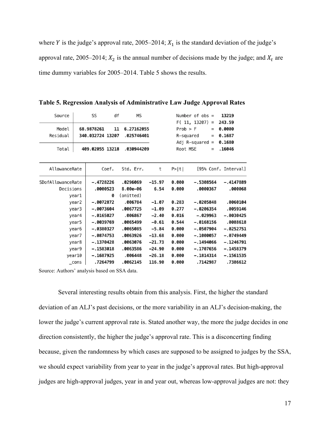where *Y* is the judge's approval rate, 2005–2014;  $X_1$  is the standard deviation of the judge's approval rate, 2005–2014;  $X_2$  is the annual number of decisions made by the judge; and  $X_t$  are time dummy variables for 2005–2014. Table 5 shows the results.

| Source            |       | SS                             | df<br>МS                       |          |              | Number of $obs =$<br>$F(11, 13207) =$ | 13219<br>243.59      |
|-------------------|-------|--------------------------------|--------------------------------|----------|--------------|---------------------------------------|----------------------|
| Model<br>Residual |       | 68.9878261<br>340.032724 13207 | 11<br>6.27162055<br>.025746401 |          | $Prob$ > $F$ | $\equiv$<br>R-squared<br>$=$          | 0.0000<br>0.1687     |
| Total             |       | 409.02055 13218                | .030944209                     |          | Root MSE     | Adj R-squared $=$<br>$\equiv$         | 0.1680<br>.16046     |
| AllowanceRate     |       | Coef.                          | Std. Err.                      | t        | P>  t        |                                       | [95% Conf. Interval] |
| SDofAllowanceRate |       | $-.4728226$                    | .0296069                       | $-15.97$ | 0.000        | $-.5308564$                           | $-.4147889$          |
| Decisions         |       | .0000523                       | 8.00e-06                       | 6.54     | 0.000        | .0000367                              | .000068              |
|                   | year1 | ø                              | (omitted)                      |          |              |                                       |                      |
|                   | year2 | $-.0072872$                    | .006784                        | $-1.07$  | 0.283        | $-.0205848$                           | .0060104             |
|                   | year3 | $-.0073604$                    | .0067725                       | $-1.09$  | 0.277        | $-.0206354$                           | .0059146             |
|                   | year4 | $-.0165027$                    | .006867                        | $-2.40$  | 0.016        | $-.029963$                            | $-.0030425$          |
|                   | year5 | -.0039769                      | .0065499                       | $-0.61$  | 0.544        | $-.0168156$                           | .0088618             |
|                   | year6 | $-.0380327$                    | .0065085                       | $-5.84$  | 0.000        | $-.0507904$                           | $-.0252751$          |
|                   | year7 | $-.0874753$                    | .0063926                       | $-13.68$ | 0.000        | $-.1000057$                           | $-.0749449$          |
|                   | year8 | $-.1370428$                    | .0063076                       | $-21.73$ | 0.000        | $-.1494066$                           | $-.1246791$          |
|                   | year9 | $-.1583018$                    | .0063586                       | -24.90   | 0.000        | -.1707656                             | $-.1458379$          |
| year10            |       | $-.1687925$                    | .006448                        | $-26.18$ | 0.000        | $-.1814314$                           | $-.1561535$          |
| cons              |       | .7264799                       | .0062145                       | 116.90   | 0.000        | .7142987                              | .7386612             |

**Table 5. Regression Analysis of Administrative Law Judge Approval Rates**

Source: Authors' analysis based on SSA data.

Several interesting results obtain from this analysis. First, the higher the standard deviation of an ALJ's past decisions, or the more variability in an ALJ's decision-making, the lower the judge's current approval rate is. Stated another way, the more the judge decides in one direction consistently, the higher the judge's approval rate. This is a disconcerting finding because, given the randomness by which cases are supposed to be assigned to judges by the SSA, we should expect variability from year to year in the judge's approval rates. But high-approval judges are high-approval judges, year in and year out, whereas low-approval judges are not: they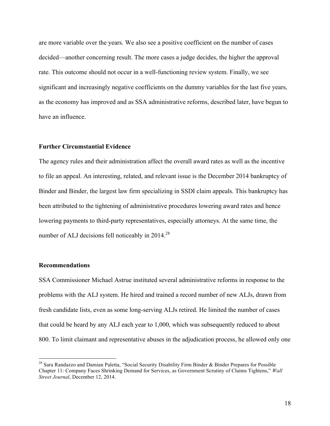are more variable over the years. We also see a positive coefficient on the number of cases decided—another concerning result. The more cases a judge decides, the higher the approval rate. This outcome should not occur in a well-functioning review system. Finally, we see significant and increasingly negative coefficients on the dummy variables for the last five years, as the economy has improved and as SSA administrative reforms, described later, have begun to have an influence.

#### **Further Circumstantial Evidence**

The agency rules and their administration affect the overall award rates as well as the incentive to file an appeal. An interesting, related, and relevant issue is the December 2014 bankruptcy of Binder and Binder, the largest law firm specializing in SSDI claim appeals. This bankruptcy has been attributed to the tightening of administrative procedures lowering award rates and hence lowering payments to third-party representatives, especially attorneys. At the same time, the number of ALJ decisions fell noticeably in  $2014.<sup>28</sup>$ 

#### **Recommendations**

<u> 1989 - Johann Stein, markin film yn y breninn y breninn y breninn y breninn y breninn y breninn y breninn y b</u>

SSA Commissioner Michael Astrue instituted several administrative reforms in response to the problems with the ALJ system. He hired and trained a record number of new ALJs, drawn from fresh candidate lists, even as some long-serving ALJs retired. He limited the number of cases that could be heard by any ALJ each year to 1,000, which was subsequently reduced to about 800. To limit claimant and representative abuses in the adjudication process, he allowed only one

<sup>&</sup>lt;sup>28</sup> Sara Randazzo and Damian Paletta, "Social Security Disability Firm Binder & Binder Prepares for Possible Chapter 11: Company Faces Shrinking Demand for Services, as Government Scrutiny of Claims Tightens," *Wall Street Journal*, December 12, 2014.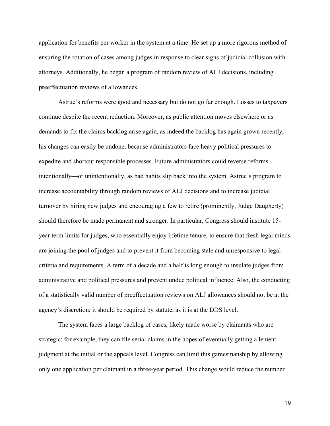application for benefits per worker in the system at a time. He set up a more rigorous method of ensuring the rotation of cases among judges in response to clear signs of judicial collusion with attorneys. Additionally, he began a program of random review of ALJ decisions, including preeffectuation reviews of allowances.

Astrue's reforms were good and necessary but do not go far enough. Losses to taxpayers continue despite the recent reduction. Moreover, as public attention moves elsewhere or as demands to fix the claims backlog arise again, as indeed the backlog has again grown recently, his changes can easily be undone, because administrators face heavy political pressures to expedite and shortcut responsible processes. Future administrators could reverse reforms intentionally—or unintentionally, as bad habits slip back into the system. Astrue's program to increase accountability through random reviews of ALJ decisions and to increase judicial turnover by hiring new judges and encouraging a few to retire (prominently, Judge Daugherty) should therefore be made permanent and stronger. In particular, Congress should institute 15 year term limits for judges, who essentially enjoy lifetime tenure, to ensure that fresh legal minds are joining the pool of judges and to prevent it from becoming stale and unresponsive to legal criteria and requirements. A term of a decade and a half is long enough to insulate judges from administrative and political pressures and prevent undue political influence. Also, the conducting of a statistically valid number of preeffectuation reviews on ALJ allowances should not be at the agency's discretion; it should be required by statute, as it is at the DDS level.

The system faces a large backlog of cases, likely made worse by claimants who are strategic: for example, they can file serial claims in the hopes of eventually getting a lenient judgment at the initial or the appeals level. Congress can limit this gamesmanship by allowing only one application per claimant in a three-year period. This change would reduce the number

19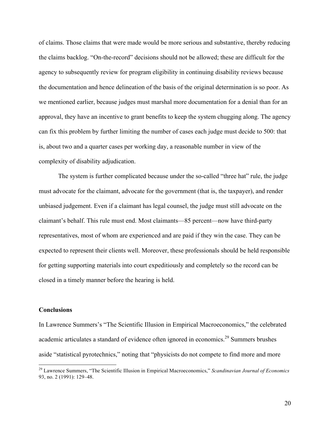of claims. Those claims that were made would be more serious and substantive, thereby reducing the claims backlog. "On-the-record" decisions should not be allowed; these are difficult for the agency to subsequently review for program eligibility in continuing disability reviews because the documentation and hence delineation of the basis of the original determination is so poor. As we mentioned earlier, because judges must marshal more documentation for a denial than for an approval, they have an incentive to grant benefits to keep the system chugging along. The agency can fix this problem by further limiting the number of cases each judge must decide to 500: that is, about two and a quarter cases per working day, a reasonable number in view of the complexity of disability adjudication.

The system is further complicated because under the so-called "three hat" rule, the judge must advocate for the claimant, advocate for the government (that is, the taxpayer), and render unbiased judgement. Even if a claimant has legal counsel, the judge must still advocate on the claimant's behalf. This rule must end. Most claimants—85 percent—now have third-party representatives, most of whom are experienced and are paid if they win the case. They can be expected to represent their clients well. Moreover, these professionals should be held responsible for getting supporting materials into court expeditiously and completely so the record can be closed in a timely manner before the hearing is held.

#### **Conclusions**

<u> 1989 - Johann Stein, markin film yn y breninn y breninn y breninn y breninn y breninn y breninn y breninn y b</u>

In Lawrence Summers's "The Scientific Illusion in Empirical Macroeconomics," the celebrated academic articulates a standard of evidence often ignored in economics.<sup>29</sup> Summers brushes aside "statistical pyrotechnics," noting that "physicists do not compete to find more and more

<sup>29</sup> Lawrence Summers, "The Scientific Illusion in Empirical Macroeconomics," *Scandinavian Journal of Economics* 93, no. 2 (1991): 129–48.